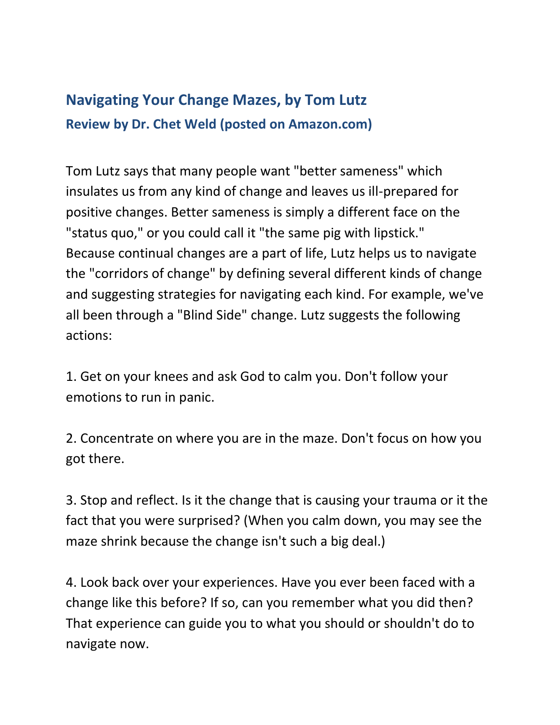## **Navigating Your Change Mazes, by Tom Lutz Review by Dr. Chet Weld (posted on Amazon.com)**

Tom Lutz says that many people want "better sameness" which insulates us from any kind of change and leaves us ill-prepared for positive changes. Better sameness is simply a different face on the "status quo," or you could call it "the same pig with lipstick." Because continual changes are a part of life, Lutz helps us to navigate the "corridors of change" by defining several different kinds of change and suggesting strategies for navigating each kind. For example, we've all been through a "Blind Side" change. Lutz suggests the following actions:

1. Get on your knees and ask God to calm you. Don't follow your emotions to run in panic.

2. Concentrate on where you are in the maze. Don't focus on how you got there.

3. Stop and reflect. Is it the change that is causing your trauma or it the fact that you were surprised? (When you calm down, you may see the maze shrink because the change isn't such a big deal.)

4. Look back over your experiences. Have you ever been faced with a change like this before? If so, can you remember what you did then? That experience can guide you to what you should or shouldn't do to navigate now.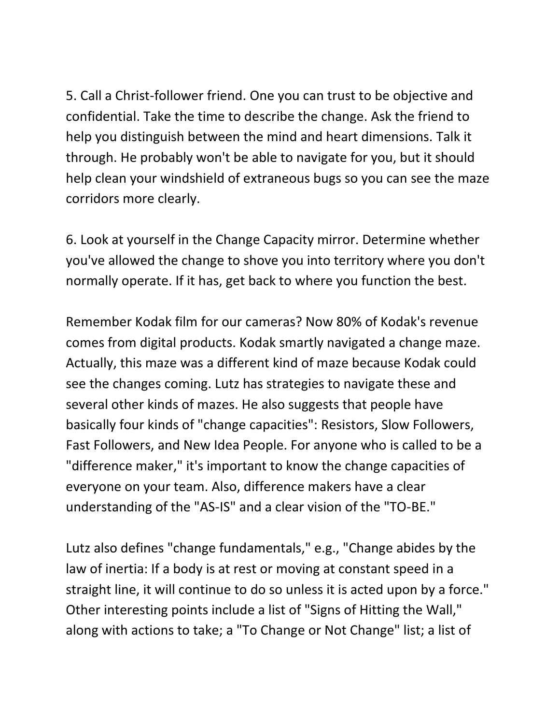5. Call a Christ-follower friend. One you can trust to be objective and confidential. Take the time to describe the change. Ask the friend to help you distinguish between the mind and heart dimensions. Talk it through. He probably won't be able to navigate for you, but it should help clean your windshield of extraneous bugs so you can see the maze corridors more clearly.

6. Look at yourself in the Change Capacity mirror. Determine whether you've allowed the change to shove you into territory where you don't normally operate. If it has, get back to where you function the best.

Remember Kodak film for our cameras? Now 80% of Kodak's revenue comes from digital products. Kodak smartly navigated a change maze. Actually, this maze was a different kind of maze because Kodak could see the changes coming. Lutz has strategies to navigate these and several other kinds of mazes. He also suggests that people have basically four kinds of "change capacities": Resistors, Slow Followers, Fast Followers, and New Idea People. For anyone who is called to be a "difference maker," it's important to know the change capacities of everyone on your team. Also, difference makers have a clear understanding of the "AS-IS" and a clear vision of the "TO-BE."

Lutz also defines "change fundamentals," e.g., "Change abides by the law of inertia: If a body is at rest or moving at constant speed in a straight line, it will continue to do so unless it is acted upon by a force." Other interesting points include a list of "Signs of Hitting the Wall," along with actions to take; a "To Change or Not Change" list; a list of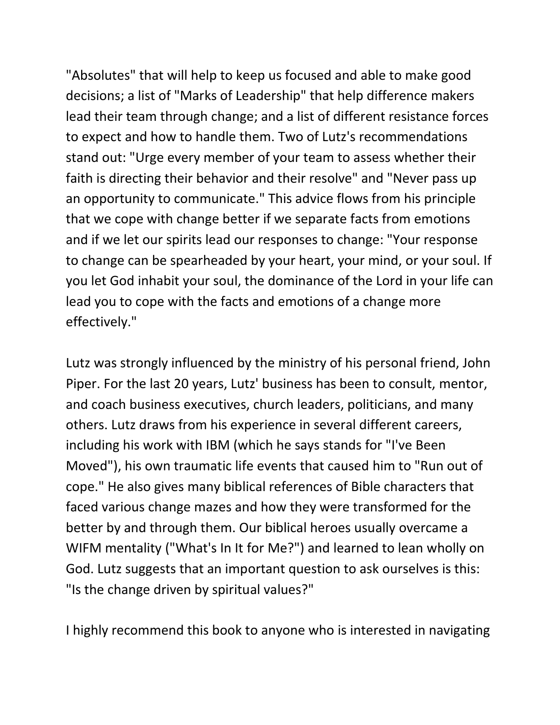"Absolutes" that will help to keep us focused and able to make good decisions; a list of "Marks of Leadership" that help difference makers lead their team through change; and a list of different resistance forces to expect and how to handle them. Two of Lutz's recommendations stand out: "Urge every member of your team to assess whether their faith is directing their behavior and their resolve" and "Never pass up an opportunity to communicate." This advice flows from his principle that we cope with change better if we separate facts from emotions and if we let our spirits lead our responses to change: "Your response to change can be spearheaded by your heart, your mind, or your soul. If you let God inhabit your soul, the dominance of the Lord in your life can lead you to cope with the facts and emotions of a change more effectively."

Lutz was strongly influenced by the ministry of his personal friend, John Piper. For the last 20 years, Lutz' business has been to consult, mentor, and coach business executives, church leaders, politicians, and many others. Lutz draws from his experience in several different careers, including his work with IBM (which he says stands for "I've Been Moved"), his own traumatic life events that caused him to "Run out of cope." He also gives many biblical references of Bible characters that faced various change mazes and how they were transformed for the better by and through them. Our biblical heroes usually overcame a WIFM mentality ("What's In It for Me?") and learned to lean wholly on God. Lutz suggests that an important question to ask ourselves is this: "Is the change driven by spiritual values?"

I highly recommend this book to anyone who is interested in navigating